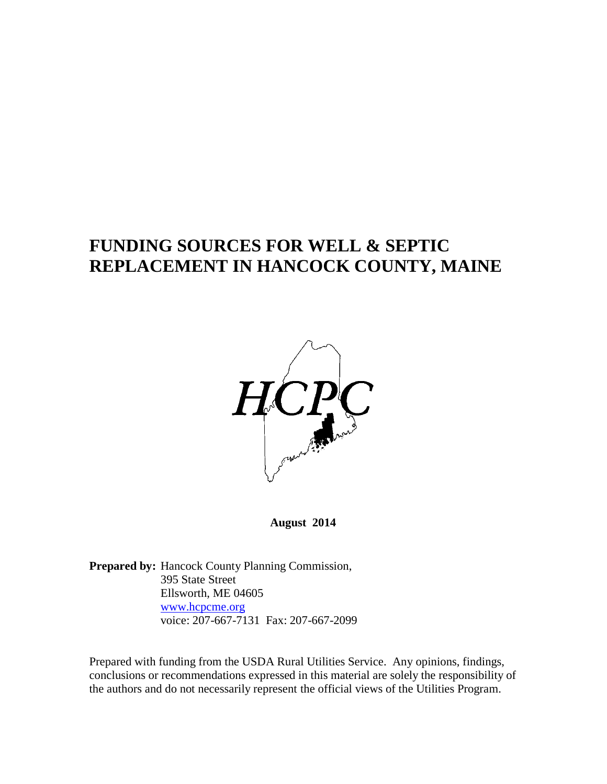# **FUNDING SOURCES FOR WELL & SEPTIC REPLACEMENT IN HANCOCK COUNTY, MAINE**



**August 2014**

Prepared by: Hancock County Planning Commission, 395 State Street Ellsworth, ME 04605 [www.hcpcme.org](http://www.hcpcme.org/) voice: 207-667-7131 Fax: 207-667-2099

Prepared with funding from the USDA Rural Utilities Service. Any opinions, findings, conclusions or recommendations expressed in this material are solely the responsibility of the authors and do not necessarily represent the official views of the Utilities Program.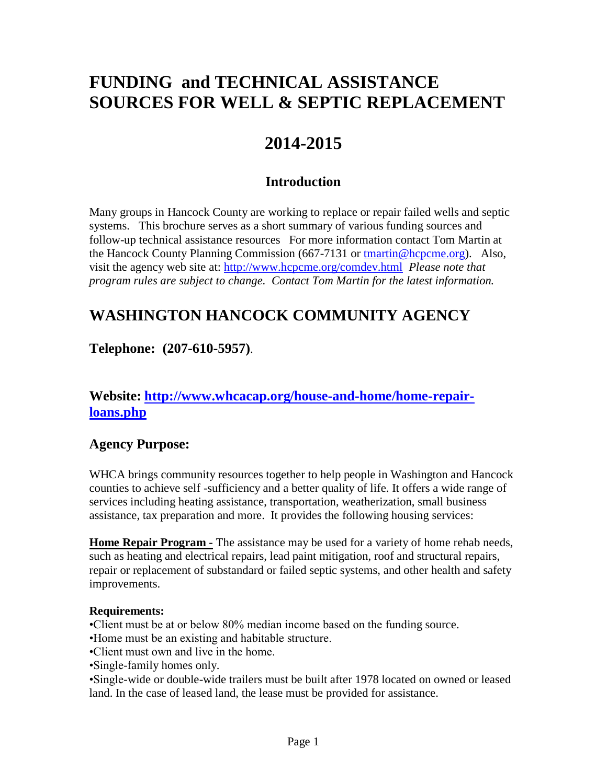# **FUNDING and TECHNICAL ASSISTANCE SOURCES FOR WELL & SEPTIC REPLACEMENT**

# **2014-2015**

### **Introduction**

Many groups in Hancock County are working to replace or repair failed wells and septic systems. This brochure serves as a short summary of various funding sources and follow-up technical assistance resources For more information contact Tom Martin at the Hancock County Planning Commission (667-7131 or [tmartin@hcpcme.org\)](mailto:tmartin@hcpcme.org). Also, visit the agency web site at:<http://www.hcpcme.org/comdev.html>*Please note that program rules are subject to change. Contact Tom Martin for the latest information.*

## **WASHINGTON HANCOCK COMMUNITY AGENCY**

### **Telephone: (207-610-5957)**.

#### **Website: [http://www.whcacap.org/house-and-home/home-repair](http://www.whcacap.org/house-and-home/home-repair-loans.php)[loans.php](http://www.whcacap.org/house-and-home/home-repair-loans.php)**

#### **Agency Purpose:**

WHCA brings community resources together to help people in Washington and Hancock counties to achieve self -sufficiency and a better quality of life. It offers a wide range of services including heating assistance, transportation, weatherization, small business assistance, tax preparation and more. It provides the following housing services:

**Home Repair Program -** The assistance may be used for a variety of home rehab needs, such as heating and electrical repairs, lead paint mitigation, roof and structural repairs, repair or replacement of substandard or failed septic systems, and other health and safety improvements.

#### **Requirements:**

•Client must be at or below 80% median income based on the funding source.

- •Home must be an existing and habitable structure.
- •Client must own and live in the home.
- •Single-family homes only.

•Single-wide or double-wide trailers must be built after 1978 located on owned or leased land. In the case of leased land, the lease must be provided for assistance.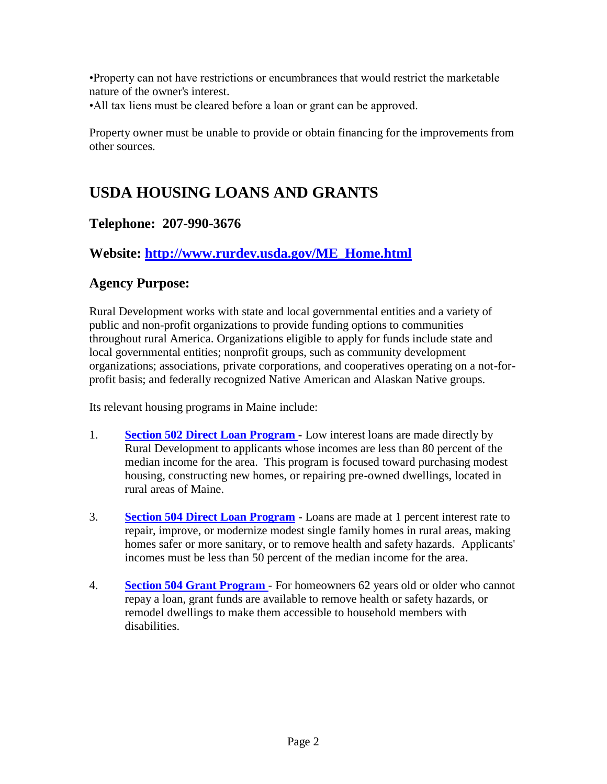•Property can not have restrictions or encumbrances that would restrict the marketable nature of the owner's interest.

•All tax liens must be cleared before a loan or grant can be approved.

Property owner must be unable to provide or obtain financing for the improvements from other sources.

## **USDA HOUSING LOANS AND GRANTS**

#### **Telephone: 207-990-3676**

#### **Website: [http://www.rurdev.usda.gov/ME\\_Home.html](http://www.rurdev.usda.gov/ME_Home.html)**

#### **Agency Purpose:**

Rural Development works with state and local governmental entities and a variety of public and non-profit organizations to provide funding options to communities throughout rural America. Organizations eligible to apply for funds include state and local governmental entities; nonprofit groups, such as community development organizations; associations, private corporations, and cooperatives operating on a not-forprofit basis; and federally recognized Native American and Alaskan Native groups.

Its relevant housing programs in Maine include:

- 1. **[Section 502 Direct Loan Program](http://www.rurdev.usda.gov/me/SFH/Fact%20Sheets/502%20Direct%2001-2009.pdf) -** Low interest loans are made directly by Rural Development to applicants whose incomes are less than 80 percent of the median income for the area. This program is focused toward purchasing modest housing, constructing new homes, or repairing pre-owned dwellings, located in rural areas of Maine.
- 3. **[Section 504 Direct Loan Program](http://www.rurdev.usda.gov/me/SFH/Fact%20Sheets/504%20loan%2001-2009.pdf)** Loans are made at 1 percent interest rate to repair, improve, or modernize modest single family homes in rural areas, making homes safer or more sanitary, or to remove health and safety hazards. Applicants' incomes must be less than 50 percent of the median income for the area.
- 4. **[Section 504 Grant Program](http://www.rurdev.usda.gov/me/SFH/Fact%20Sheets/504%20grant%2001-2009.pdf)** For homeowners 62 years old or older who cannot repay a loan, grant funds are available to remove health or safety hazards, or remodel dwellings to make them accessible to household members with disabilities.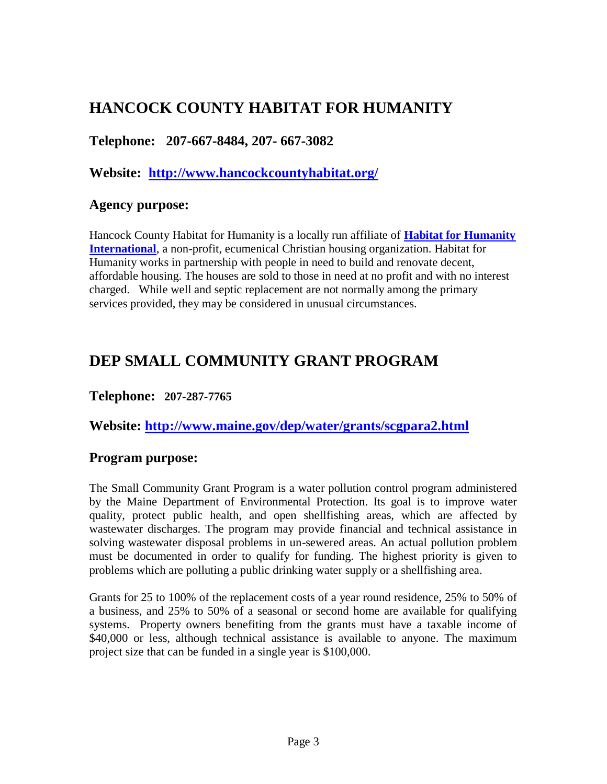### **HANCOCK COUNTY HABITAT FOR HUMANITY**

#### **Telephone: 207-667-8484, 207- 667-3082**

**Website: <http://www.hancockcountyhabitat.org/>**

#### **Agency purpose:**

Hancock County Habitat for Humanity is a locally run affiliate of **[Habitat for Humanity](http://www.habitat.org/)  [International](http://www.habitat.org/)**, a non-profit, ecumenical Christian housing organization. Habitat for Humanity works in partnership with people in need to build and renovate decent, affordable housing. The houses are sold to those in need at no profit and with no interest charged. While well and septic replacement are not normally among the primary services provided, they may be considered in unusual circumstances.

### **DEP SMALL COMMUNITY GRANT PROGRAM**

#### **Telephone: 207-287-7765**

**Website:<http://www.maine.gov/dep/water/grants/scgpara2.html>**

#### **Program purpose:**

The Small Community Grant Program is a water pollution control program administered by the Maine Department of Environmental Protection. Its goal is to improve water quality, protect public health, and open shellfishing areas, which are affected by wastewater discharges. The program may provide financial and technical assistance in solving wastewater disposal problems in un-sewered areas. An actual pollution problem must be documented in order to qualify for funding. The highest priority is given to problems which are polluting a public drinking water supply or a shellfishing area.

Grants for 25 to 100% of the replacement costs of a year round residence, 25% to 50% of a business, and 25% to 50% of a seasonal or second home are available for qualifying systems. Property owners benefiting from the grants must have a taxable income of \$40,000 or less, although technical assistance is available to anyone. The maximum project size that can be funded in a single year is \$100,000.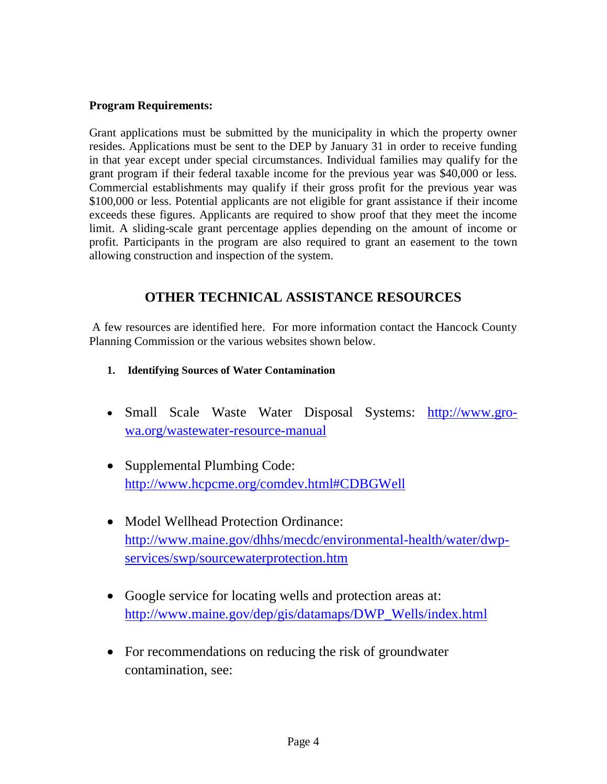#### **Program Requirements:**

Grant applications must be submitted by the municipality in which the property owner resides. Applications must be sent to the DEP by January 31 in order to receive funding in that year except under special circumstances. Individual families may qualify for the grant program if their federal taxable income for the previous year was \$40,000 or less. Commercial establishments may qualify if their gross profit for the previous year was \$100,000 or less. Potential applicants are not eligible for grant assistance if their income exceeds these figures. Applicants are required to show proof that they meet the income limit. A sliding-scale grant percentage applies depending on the amount of income or profit. Participants in the program are also required to grant an easement to the town allowing construction and inspection of the system.

#### **OTHER TECHNICAL ASSISTANCE RESOURCES**

A few resources are identified here. For more information contact the Hancock County Planning Commission or the various websites shown below.

- **1. Identifying Sources of Water Contamination**
- Small Scale Waste Water Disposal Systems: [http://www.gro](http://www.gro-wa.org/wastewater-resource-manual)[wa.org/wastewater-resource-manual](http://www.gro-wa.org/wastewater-resource-manual)
- Supplemental Plumbing Code: <http://www.hcpcme.org/comdev.html#CDBGWell>
- Model Wellhead Protection Ordinance: [http://www.maine.gov/dhhs/mecdc/environmental-health/water/dwp](http://www.maine.gov/dhhs/mecdc/environmental-health/water/dwp-services/swp/sourcewaterprotection.htm)[services/swp/sourcewaterprotection.htm](http://www.maine.gov/dhhs/mecdc/environmental-health/water/dwp-services/swp/sourcewaterprotection.htm)
- Google service for locating wells and protection areas at: [http://www.maine.gov/dep/gis/datamaps/DWP\\_Wells/index.html](http://www.maine.gov/dep/gis/datamaps/DWP_Wells/index.html)
- For recommendations on reducing the risk of groundwater contamination, see: